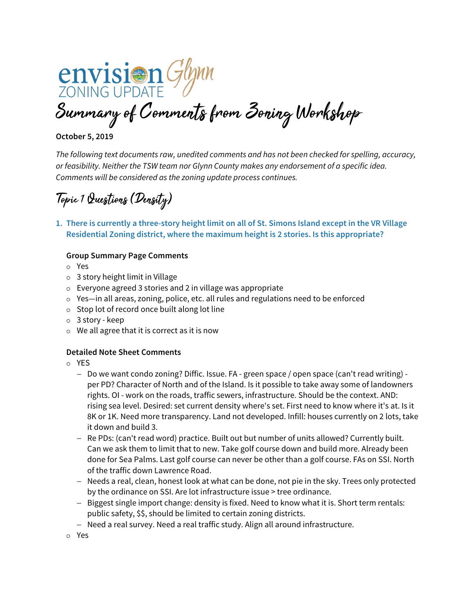**envision** Glynn Summary of Comments from Zoning Workshop

# **October 5, 2019**

*The following text documents raw, unedited comments and has not been checked for spelling, accuracy, or feasibility. Neither the TSW team nor Glynn County makes any endorsement of a specific idea. Comments will be considered as the zoning update process continues.*

Topic 1 Questions (Density)

**1. There is currently a three-story height limit on all of St. Simons Island except in the VR Village Residential Zoning district, where the maximum height is 2 stories. Is this appropriate?**

## **Group Summary Page Comments**

- Yes
- 3 story height limit in Village
- $\circ$  Everyone agreed 3 stories and 2 in village was appropriate
- $\circ$  Yes—in all areas, zoning, police, etc. all rules and regulations need to be enforced
- $\circ$  Stop lot of record once built along lot line
- 3 story keep
- $\circ$  We all agree that it is correct as it is now

## **Detailed Note Sheet Comments**

- YES
	- − Do we want condo zoning? Diffic. Issue. FA green space / open space (can't read writing) per PD? Character of North and of the Island. Is it possible to take away some of landowners rights. OI - work on the roads, traffic sewers, infrastructure. Should be the context. AND: rising sea level. Desired: set current density where's set. First need to know where it's at. Is it 8K or 1K. Need more transparency. Land not developed. Infill: houses currently on 2 lots, take it down and build 3.
	- − Re PDs: (can't read word) practice. Built out but number of units allowed? Currently built. Can we ask them to limit that to new. Take golf course down and build more. Already been done for Sea Palms. Last golf course can never be other than a golf course. FAs on SSI. North of the traffic down Lawrence Road.
	- − Needs a real, clean, honest look at what can be done, not pie in the sky. Trees only protected by the ordinance on SSI. Are lot infrastructure issue > tree ordinance.
	- − Biggest single import change: density is fixed. Need to know what it is. Short term rentals: public safety, \$\$, should be limited to certain zoning districts.
	- − Need a real survey. Need a real traffic study. Align all around infrastructure.

Yes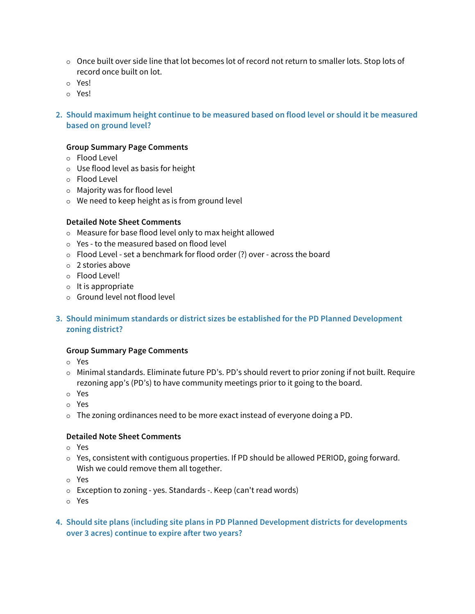- $\circ$  Once built over side line that lot becomes lot of record not return to smaller lots. Stop lots of record once built on lot.
- Yes!
- Yes!

# **2. Should maximum height continue to be measured based on flood level or should it be measured based on ground level?**

## **Group Summary Page Comments**

- Flood Level
- Use flood level as basis for height
- Flood Level
- Majority was for flood level
- We need to keep height as is from ground level

## **Detailed Note Sheet Comments**

- Measure for base flood level only to max height allowed
- Yes to the measured based on flood level
- Flood Level set a benchmark for flood order (?) over across the board
- 2 stories above
- Flood Level!
- $\circ$  It is appropriate
- Ground level not flood level

# **3. Should minimum standards or district sizes be established for the PD Planned Development zoning district?**

## **Group Summary Page Comments**

- Yes
- $\circ$  Minimal standards. Eliminate future PD's. PD's should revert to prior zoning if not built. Require rezoning app's (PD's) to have community meetings prior to it going to the board.
- Yes
- Yes
- $\circ$  The zoning ordinances need to be more exact instead of everyone doing a PD.

- Yes
- $\circ$  Yes, consistent with contiguous properties. If PD should be allowed PERIOD, going forward. Wish we could remove them all together.
- Yes
- Exception to zoning yes. Standards -. Keep (can't read words)
- Yes
- **4. Should site plans (including site plans in PD Planned Development districts for developments over 3 acres) continue to expire after two years?**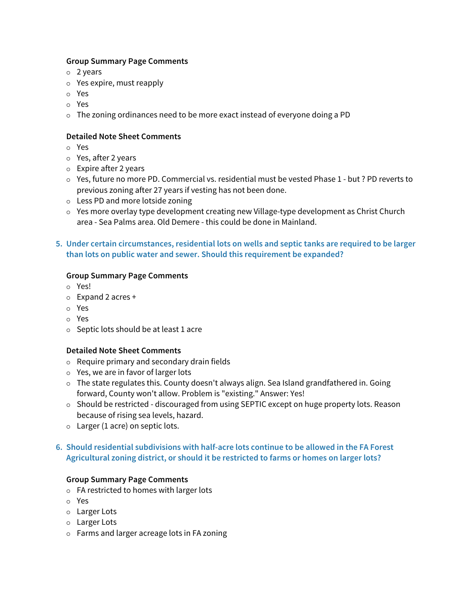# **Group Summary Page Comments**

- 2 years
- $\circ$  Yes expire, must reapply
- Yes
- Yes
- The zoning ordinances need to be more exact instead of everyone doing a PD

# **Detailed Note Sheet Comments**

- Yes
- Yes, after 2 years
- Expire after 2 years
- Yes, future no more PD. Commercial vs. residential must be vested Phase 1 but ? PD reverts to previous zoning after 27 years if vesting has not been done.
- Less PD and more lotside zoning
- Yes more overlay type development creating new Village-type development as Christ Church area - Sea Palms area. Old Demere - this could be done in Mainland.
- **5. Under certain circumstances, residential lots on wells and septic tanks are required to be larger than lots on public water and sewer. Should this requirement be expanded?**

# **Group Summary Page Comments**

- Yes!
- $\circ$  Expand 2 acres +
- Yes
- Yes
- $\circ$  Septic lots should be at least 1 acre

## **Detailed Note Sheet Comments**

- $\circ$  Require primary and secondary drain fields
- $\circ$  Yes, we are in favor of larger lots
- $\circ$  The state regulates this. County doesn't always align. Sea Island grandfathered in. Going forward, County won't allow. Problem is "existing." Answer: Yes!
- $\circ$  Should be restricted discouraged from using SEPTIC except on huge property lots. Reason because of rising sea levels, hazard.
- $\circ$  Larger (1 acre) on septic lots.

# **6. Should residential subdivisions with half-acre lots continue to be allowed in the FA Forest Agricultural zoning district, or should it be restricted to farms or homes on larger lots?**

## **Group Summary Page Comments**

- FA restricted to homes with larger lots
- Yes
- Larger Lots
- Larger Lots
- Farms and larger acreage lots in FA zoning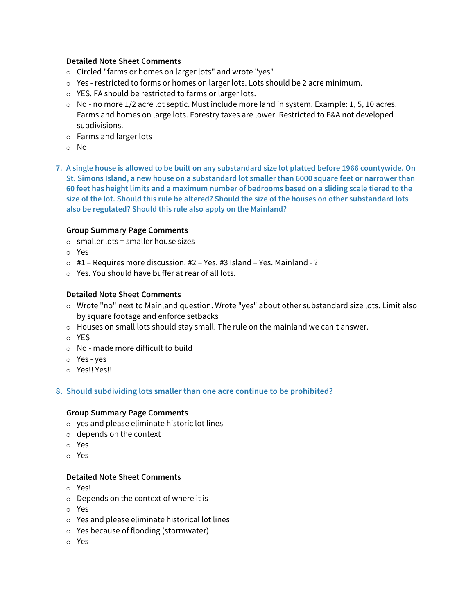## **Detailed Note Sheet Comments**

- o Circled "farms or homes on larger lots" and wrote "yes"
- Yes restricted to forms or homes on larger lots. Lots should be 2 acre minimum.
- YES. FA should be restricted to farms or larger lots.
- $\circ$  No no more 1/2 acre lot septic. Must include more land in system. Example: 1, 5, 10 acres. Farms and homes on large lots. Forestry taxes are lower. Restricted to F&A not developed subdivisions.
- Farms and larger lots
- o No
- **7. A single house is allowed to be built on any substandard size lot platted before 1966 countywide. On St. Simons Island, a new house on a substandard lot smaller than 6000 square feet or narrower than 60 feet has height limits and a maximum number of bedrooms based on a sliding scale tiered to the size of the lot. Should this rule be altered? Should the size of the houses on other substandard lots also be regulated? Should this rule also apply on the Mainland?**

# **Group Summary Page Comments**

- $\circ$  smaller lots = smaller house sizes
- Yes
- #1 Requires more discussion. #2 Yes. #3 Island Yes. Mainland ?
- Yes. You should have buffer at rear of all lots.

# **Detailed Note Sheet Comments**

- Wrote "no" next to Mainland question. Wrote "yes" about other substandard size lots. Limit also by square footage and enforce setbacks
- $\circ$  Houses on small lots should stay small. The rule on the mainland we can't answer.
- YES
- No made more difficult to build
- Yes yes
- Yes!! Yes!!

# **8. Should subdividing lots smaller than one acre continue to be prohibited?**

## **Group Summary Page Comments**

- yes and please eliminate historic lot lines
- $\circ$  depends on the context
- Yes
- Yes

- Yes!
- $\circ$  Depends on the context of where it is
- Yes
- Yes and please eliminate historical lot lines
- Yes because of flooding (stormwater)
- Yes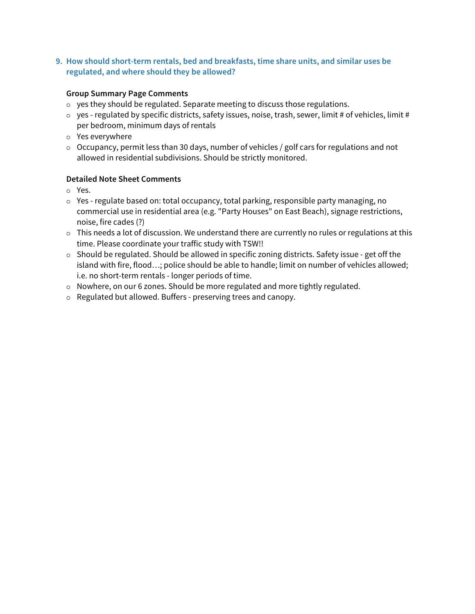**9. How should short-term rentals, bed and breakfasts, time share units, and similar uses be regulated, and where should they be allowed?**

# **Group Summary Page Comments**

- $\circ$  yes they should be regulated. Separate meeting to discuss those regulations.
- $\circ$  yes regulated by specific districts, safety issues, noise, trash, sewer, limit # of vehicles, limit # per bedroom, minimum days of rentals
- Yes everywhere
- $\circ$  Occupancy, permit less than 30 days, number of vehicles / golf cars for regulations and not allowed in residential subdivisions. Should be strictly monitored.

- Yes.
- Yes regulate based on: total occupancy, total parking, responsible party managing, no commercial use in residential area (e.g. "Party Houses" on East Beach), signage restrictions, noise, fire cades (?)
- $\circ$  This needs a lot of discussion. We understand there are currently no rules or regulations at this time. Please coordinate your traffic study with TSW!!
- $\circ$  Should be regulated. Should be allowed in specific zoning districts. Safety issue get off the island with fire, flood…; police should be able to handle; limit on number of vehicles allowed; i.e. no short-term rentals - longer periods of time.
- $\circ$  Nowhere, on our 6 zones. Should be more regulated and more tightly regulated.
- Regulated but allowed. Buffers preserving trees and canopy.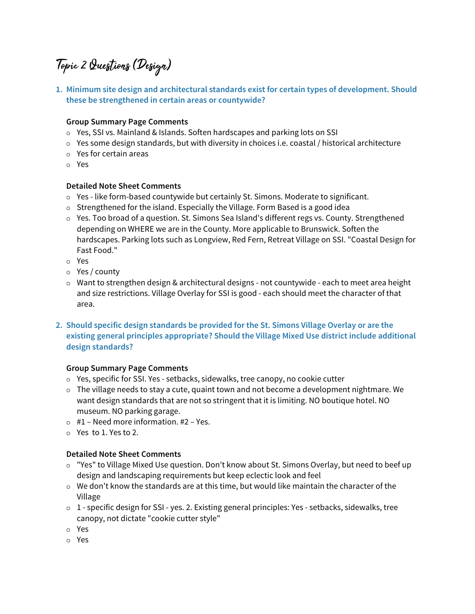# Topic 2 Questions (Design)

**1. Minimum site design and architectural standards exist for certain types of development. Should these be strengthened in certain areas or countywide?**

# **Group Summary Page Comments**

- Yes, SSI vs. Mainland & Islands. Soften hardscapes and parking lots on SSI
- $\circ$  Yes some design standards, but with diversity in choices i.e. coastal / historical architecture
- Yes for certain areas
- Yes

## **Detailed Note Sheet Comments**

- Yes like form-based countywide but certainly St. Simons. Moderate to significant.
- $\circ$  Strengthened for the island. Especially the Village. Form Based is a good idea
- $\circ$  Yes. Too broad of a question. St. Simons Sea Island's different regs vs. County. Strengthened depending on WHERE we are in the County. More applicable to Brunswick. Soften the hardscapes. Parking lots such as Longview, Red Fern, Retreat Village on SSI. "Coastal Design for Fast Food."
- Yes
- Yes / county
- $\circ$  Want to strengthen design & architectural designs not countywide each to meet area height and size restrictions. Village Overlay for SSI is good - each should meet the character of that area.
- **2. Should specific design standards be provided for the St. Simons Village Overlay or are the existing general principles appropriate? Should the Village Mixed Use district include additional design standards?**

## **Group Summary Page Comments**

- Yes, specific for SSI. Yes setbacks, sidewalks, tree canopy, no cookie cutter
- $\circ$  The village needs to stay a cute, quaint town and not become a development nightmare. We want design standards that are not so stringent that it is limiting. NO boutique hotel. NO museum. NO parking garage.
- $\circ$  #1 Need more information. #2 Yes.
- Yes to 1. Yes to 2.

- "Yes" to Village Mixed Use question. Don't know about St. Simons Overlay, but need to beef up design and landscaping requirements but keep eclectic look and feel
- $\circ$  We don't know the standards are at this time, but would like maintain the character of the Village
- $\circ$  1 specific design for SSI yes. 2. Existing general principles: Yes setbacks, sidewalks, tree canopy, not dictate "cookie cutter style"
- Yes
- Yes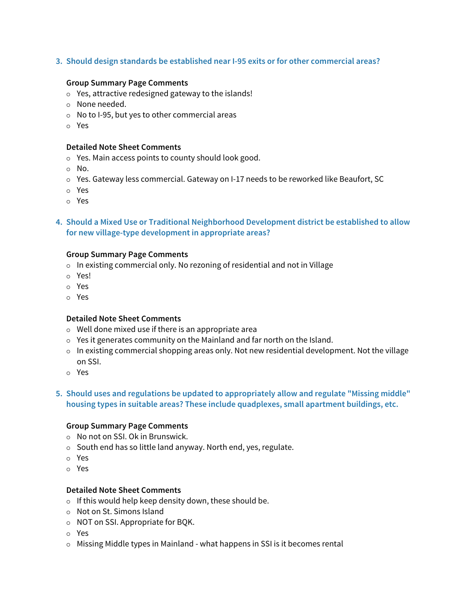## **3. Should design standards be established near I-95 exits or for other commercial areas?**

#### **Group Summary Page Comments**

- Yes, attractive redesigned gateway to the islands!
- None needed.
- No to I-95, but yes to other commercial areas
- Yes

#### **Detailed Note Sheet Comments**

- Yes. Main access points to county should look good.
- No.
- Yes. Gateway less commercial. Gateway on I-17 needs to be reworked like Beaufort, SC
- Yes
- Yes

**4. Should a Mixed Use or Traditional Neighborhood Development district be established to allow for new village-type development in appropriate areas?**

#### **Group Summary Page Comments**

- $\circ$  In existing commercial only. No rezoning of residential and not in Village
- Yes!
- Yes
- Yes

#### **Detailed Note Sheet Comments**

- $\circ$  Well done mixed use if there is an appropriate area
- Yes it generates community on the Mainland and far north on the Island.
- $\circ$  In existing commercial shopping areas only. Not new residential development. Not the village on SSI.
- Yes

# **5. Should uses and regulations be updated to appropriately allow and regulate "Missing middle" housing types in suitable areas? These include quadplexes, small apartment buildings, etc.**

#### **Group Summary Page Comments**

- $\circ$  No not on SSI. Ok in Brunswick.
- $\circ$  South end has so little land anyway. North end, yes, regulate.
- Yes
- Yes

- $\circ$  If this would help keep density down, these should be.
- o Not on St. Simons Island
- $\circ$  NOT on SSI. Appropriate for BQK.
- Yes
- $\circ$  Missing Middle types in Mainland what happens in SSI is it becomes rental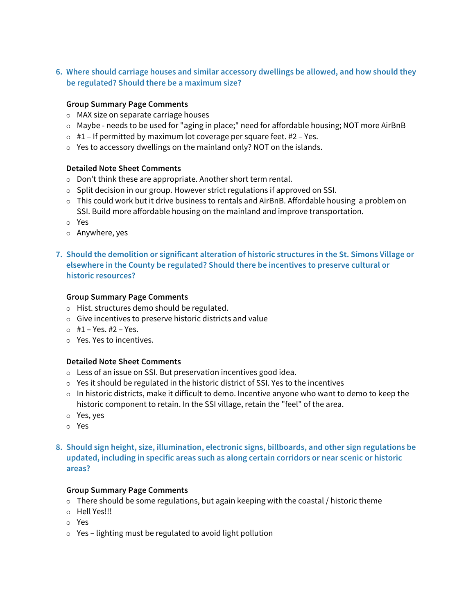**6. Where should carriage houses and similar accessory dwellings be allowed, and how should they be regulated? Should there be a maximum size?**

## **Group Summary Page Comments**

- MAX size on separate carriage houses
- $\circ$  Maybe needs to be used for "aging in place;" need for affordable housing; NOT more AirBnB
- $\circ$  #1 If permitted by maximum lot coverage per square feet. #2 Yes.
- Yes to accessory dwellings on the mainland only? NOT on the islands.

## **Detailed Note Sheet Comments**

- o Don't think these are appropriate. Another short term rental.
- $\circ$  Split decision in our group. However strict regulations if approved on SSI.
- $\circ$  This could work but it drive business to rentals and AirBnB. Affordable housing a problem on SSI. Build more affordable housing on the mainland and improve transportation.
- Yes
- $\circ$  Anywhere, yes
- **7. Should the demolition or significant alteration of historic structures in the St. Simons Village or elsewhere in the County be regulated? Should there be incentives to preserve cultural or historic resources?**

#### **Group Summary Page Comments**

- Hist. structures demo should be regulated.
- $\circ$  Give incentives to preserve historic districts and value
- $\circ$  #1 Yes. #2 Yes.
- Yes. Yes to incentives.

#### **Detailed Note Sheet Comments**

- Less of an issue on SSI. But preservation incentives good idea.
- Yes it should be regulated in the historic district of SSI. Yes to the incentives
- $\circ$  In historic districts, make it difficult to demo. Incentive anyone who want to demo to keep the historic component to retain. In the SSI village, retain the "feel" of the area.
- Yes, yes
- Yes
- **8. Should sign height, size, illumination, electronic signs, billboards, and other sign regulations be updated, including in specific areas such as along certain corridors or near scenic or historic areas?**

#### **Group Summary Page Comments**

- $\circ$  There should be some regulations, but again keeping with the coastal / historic theme
- o Hell Yes!!!
- Yes
- Yes lighting must be regulated to avoid light pollution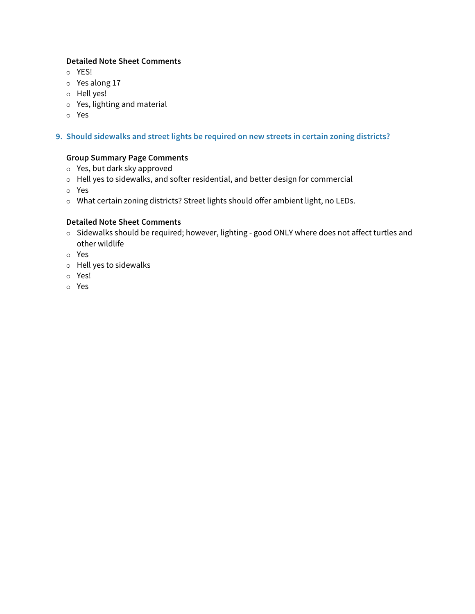# **Detailed Note Sheet Comments**

- o YES!
- Yes along 17
- Hell yes!
- Yes, lighting and material
- Yes

# **9. Should sidewalks and street lights be required on new streets in certain zoning districts?**

# **Group Summary Page Comments**

- Yes, but dark sky approved
- Hell yes to sidewalks, and softer residential, and better design for commercial
- Yes
- What certain zoning districts? Street lights should offer ambient light, no LEDs.

- o Sidewalks should be required; however, lighting good ONLY where does not affect turtles and other wildlife
- Yes
- $\circ$  Hell yes to sidewalks
- Yes!
- Yes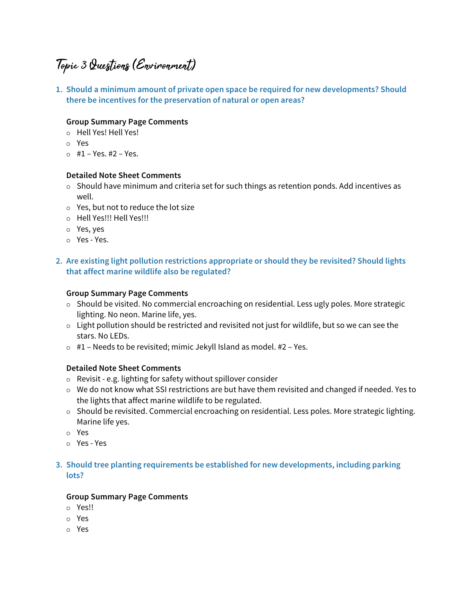# Topic 3 Questions (Environment)

**1. Should a minimum amount of private open space be required for new developments? Should there be incentives for the preservation of natural or open areas?**

# **Group Summary Page Comments**

- Hell Yes! Hell Yes!
- Yes
- $\circ$  #1 Yes. #2 Yes.

## **Detailed Note Sheet Comments**

- $\circ$  Should have minimum and criteria set for such things as retention ponds. Add incentives as well.
- $\circ$  Yes, but not to reduce the lot size
- o Hell Yes!!! Hell Yes!!!
- Yes, yes
- Yes Yes.

# **2. Are existing light pollution restrictions appropriate or should they be revisited? Should lights that affect marine wildlife also be regulated?**

#### **Group Summary Page Comments**

- $\circ$  Should be visited. No commercial encroaching on residential. Less ugly poles. More strategic lighting. No neon. Marine life, yes.
- $\circ$  Light pollution should be restricted and revisited not just for wildlife, but so we can see the stars. No LEDs.
- $\circ$  #1 Needs to be revisited; mimic Jekyll Island as model. #2 Yes.

## **Detailed Note Sheet Comments**

- Revisit e.g. lighting for safety without spillover consider
- We do not know what SSI restrictions are but have them revisited and changed if needed. Yes to the lights that affect marine wildlife to be regulated.
- $\circ$  Should be revisited. Commercial encroaching on residential. Less poles. More strategic lighting. Marine life yes.
- Yes
- Yes Yes

# **3. Should tree planting requirements be established for new developments, including parking lots?**

## **Group Summary Page Comments**

- Yes!!
- Yes
- Yes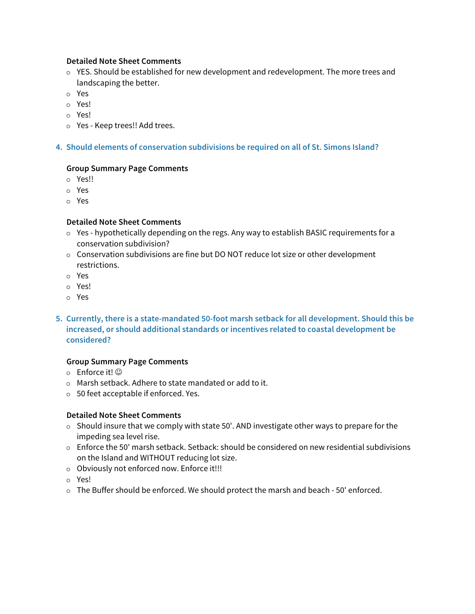## **Detailed Note Sheet Comments**

- YES. Should be established for new development and redevelopment. The more trees and landscaping the better.
- Yes
- Yes!
- Yes!
- Yes Keep trees!! Add trees.

## **4. Should elements of conservation subdivisions be required on all of St. Simons Island?**

## **Group Summary Page Comments**

- Yes!!
- Yes
- Yes

## **Detailed Note Sheet Comments**

- $\circ$  Yes hypothetically depending on the regs. Any way to establish BASIC requirements for a conservation subdivision?
- Conservation subdivisions are fine but DO NOT reduce lot size or other development restrictions.
- Yes
- Yes!
- Yes
- **5. Currently, there is a state-mandated 50-foot marsh setback for all development. Should this be increased, or should additional standards or incentives related to coastal development be considered?**

## **Group Summary Page Comments**

- $\circ$  Enforce it!  $\circledcirc$
- Marsh setback. Adhere to state mandated or add to it.
- 50 feet acceptable if enforced. Yes.

- $\circ$  Should insure that we comply with state 50'. AND investigate other ways to prepare for the impeding sea level rise.
- Enforce the 50' marsh setback. Setback: should be considered on new residential subdivisions on the Island and WITHOUT reducing lot size.
- Obviously not enforced now. Enforce it!!!
- Yes!
- The Buffer should be enforced. We should protect the marsh and beach 50' enforced.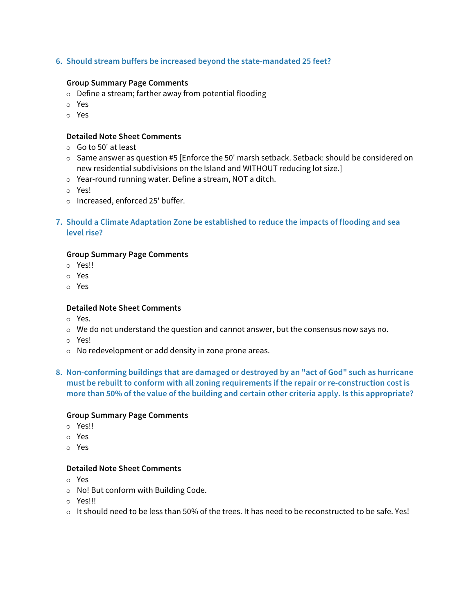## **6. Should stream buffers be increased beyond the state-mandated 25 feet?**

#### **Group Summary Page Comments**

- $\circ$  Define a stream; farther away from potential flooding
- Yes
- Yes

#### **Detailed Note Sheet Comments**

- $\circ$  Go to 50' at least
- o Same answer as question #5 [Enforce the 50' marsh setback. Setback: should be considered on new residential subdivisions on the Island and WITHOUT reducing lot size.]
- Year-round running water. Define a stream, NOT a ditch.
- Yes!
- o Increased, enforced 25' buffer.
- **7. Should a Climate Adaptation Zone be established to reduce the impacts of flooding and sea level rise?**

#### **Group Summary Page Comments**

- Yes!!
- Yes
- Yes

#### **Detailed Note Sheet Comments**

- Yes.
- $\circ$  We do not understand the question and cannot answer, but the consensus now says no.
- Yes!
- No redevelopment or add density in zone prone areas.
- **8. Non-conforming buildings that are damaged or destroyed by an "act of God" such as hurricane must be rebuilt to conform with all zoning requirements if the repair or re-construction cost is more than 50% of the value of the building and certain other criteria apply. Is this appropriate?**

#### **Group Summary Page Comments**

- Yes!!
- Yes
- Yes

- Yes
- No! But conform with Building Code.
- Yes!!!
- $\circ$  It should need to be less than 50% of the trees. It has need to be reconstructed to be safe. Yes!